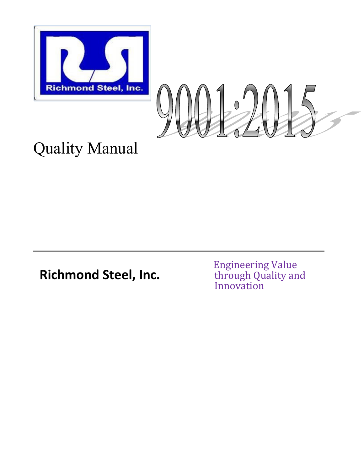



# Quality Manual

**Richmond Steel, Inc.**

 Engineering Value through Quality and Innovation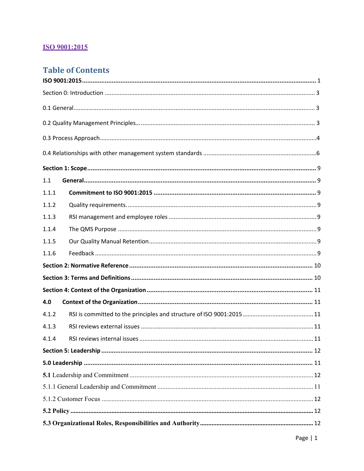## **ISO 9001:2015**

# **Table of Contents**

| 1.1   |  |  |  |
|-------|--|--|--|
| 1.1.1 |  |  |  |
| 1.1.2 |  |  |  |
| 1.1.3 |  |  |  |
| 1.1.4 |  |  |  |
| 1.1.5 |  |  |  |
| 1.1.6 |  |  |  |
|       |  |  |  |
|       |  |  |  |
|       |  |  |  |
| 4.0   |  |  |  |
| 4.1.2 |  |  |  |
| 4.1.3 |  |  |  |
| 4.1.4 |  |  |  |
|       |  |  |  |
|       |  |  |  |
|       |  |  |  |
|       |  |  |  |
|       |  |  |  |
|       |  |  |  |
|       |  |  |  |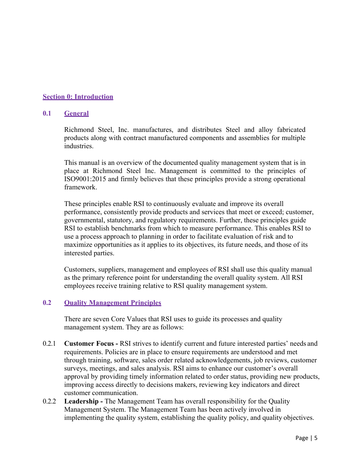#### **Section 0: Introduction**

#### **0.1 General**

Richmond Steel, Inc. manufactures, and distributes Steel and alloy fabricated products along with contract manufactured components and assemblies for multiple industries.

This manual is an overview of the documented quality management system that is in place at Richmond Steel Inc. Management is committed to the principles of ISO9001:2015 and firmly believes that these principles provide a strong operational framework.

These principles enable RSI to continuously evaluate and improve its overall performance, consistently provide products and services that meet or exceed; customer, governmental, statutory, and regulatory requirements. Further, these principles guide RSI to establish benchmarks from which to measure performance. This enables RSI to use a process approach to planning in order to facilitate evaluation of risk and to maximize opportunities as it applies to its objectives, its future needs, and those of its interested parties.

Customers, suppliers, management and employees of RSI shall use this quality manual as the primary reference point for understanding the overall quality system. All RSI employees receive training relative to RSI quality management system.

#### **0.2 Quality Management Principles**

There are seven Core Values that RSI uses to guide its processes and quality management system. They are as follows:

- 0.2.1 **Customer Focus** RSI strives to identify current and future interested parties' needs and requirements. Policies are in place to ensure requirements are understood and met through training, software, sales order related acknowledgements, job reviews, customer surveys, meetings, and sales analysis. RSI aims to enhance our customer's overall approval by providing timely information related to order status, providing new products, improving access directly to decisions makers, reviewing key indicators and direct customer communication.
- 0.2.2 **Leadership** The Management Team has overall responsibility for the Quality Management System. The Management Team has been actively involved in implementing the quality system, establishing the quality policy, and quality objectives.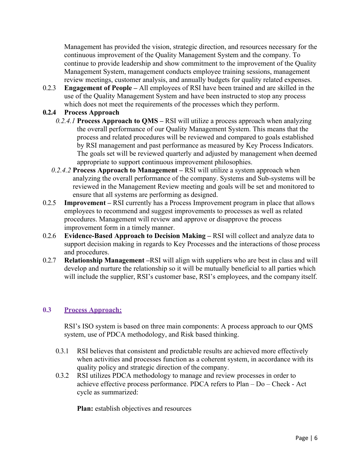Management has provided the vision, strategic direction, and resources necessary for the continuous improvement of the Quality Management System and the company. To continue to provide leadership and show commitment to the improvement of the Quality Management System, management conducts employee training sessions, management review meetings, customer analysis, and annually budgets for quality related expenses.

0.2.3 **Engagement of People –** All employees of RSI have been trained and are skilled in the use of the Quality Management System and have been instructed to stop any process which does not meet the requirements of the processes which they perform.

### **0.2.4 Process Approach**

- *0.2.4.1* **Process Approach to QMS** RSI will utilize a process approach when analyzing the overall performance of our Quality Management System. This means that the process and related procedures will be reviewed and compared to goals established by RSI management and past performance as measured by Key Process Indicators. The goals set will be reviewed quarterly and adjusted by management when deemed appropriate to support continuous improvement philosophies.
- *0.2.4.2* **Process Approach to Management** RSI will utilize a system approach when analyzing the overall performance of the company. Systems and Sub-systems will be reviewed in the Management Review meeting and goals will be set and monitored to ensure that all systems are performing as designed.
- 0.2.5 **Improvement** RSI currently has a Process Improvement program in place that allows employees to recommend and suggest improvements to processes as well as related procedures. Management will review and approve or disapprove the process improvement form in a timely manner.
- 0.2.6 **Evidence-Based Approach to Decision Making** RSI will collect and analyze data to support decision making in regards to Key Processes and the interactions of those process and procedures.
- 0.2.7 **Relationship Management –**RSI will align with suppliers who are best in class and will develop and nurture the relationship so it will be mutually beneficial to all parties which will include the supplier, RSI's customer base, RSI's employees, and the company itself.

#### **0.3 Process Approach:**

RSI's ISO system is based on three main components: A process approach to our QMS system, use of PDCA methodology, and Risk based thinking.

- 0.3.1 RSI believes that consistent and predictable results are achieved more effectively when activities and processes function as a coherent system, in accordance with its quality policy and strategic direction of the company.
- 0.3.2 RSI utilizes PDCA methodology to manage and review processes in order to achieve effective process performance. PDCA refers to Plan – Do – Check - Act cycle as summarized:

**Plan:** establish objectives and resources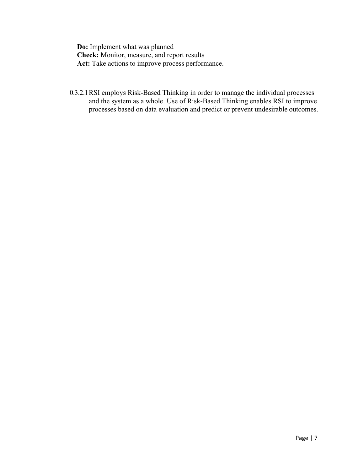**Do:** Implement what was planned **Check:** Monitor, measure, and report results Act: Take actions to improve process performance.

0.3.2.1RSI employs Risk-Based Thinking in order to manage the individual processes and the system as a whole. Use of Risk-Based Thinking enables RSI to improve processes based on data evaluation and predict or prevent undesirable outcomes.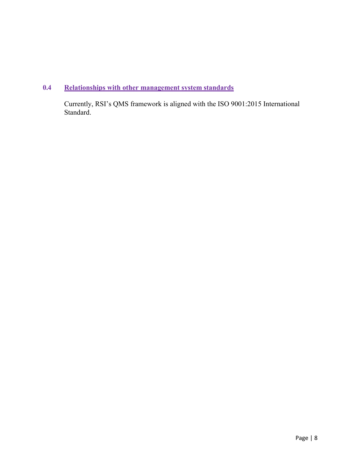## **0.4 Relationships with other management system standards**

Currently, RSI's QMS framework is aligned with the ISO 9001:2015 International Standard.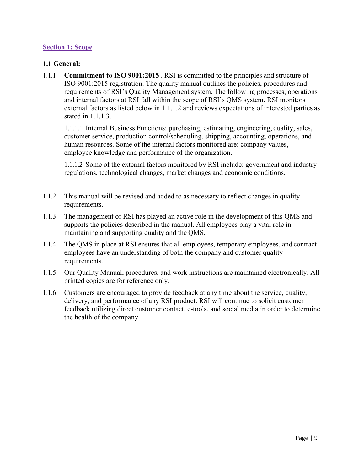#### **Section 1: Scope**

#### **1.1 General:**

1.1.1 **Commitment to ISO 9001:2015** . RSI is committed to the principles and structure of ISO 9001:2015 registration. The quality manual outlines the policies, procedures and requirements of RSI's Quality Management system. The following processes, operations and internal factors at RSI fall within the scope of RSI's QMS system. RSI monitors external factors as listed below in 1.1.1.2 and reviews expectations of interested parties as stated in 1.1.1.3.

1.1.1.1 Internal Business Functions: purchasing, estimating, engineering, quality, sales, customer service, production control/scheduling, shipping, accounting, operations, and human resources. Some of the internal factors monitored are: company values, employee knowledge and performance of the organization.

1.1.1.2 Some of the external factors monitored by RSI include: government and industry regulations, technological changes, market changes and economic conditions.

- 1.1.2 This manual will be revised and added to as necessary to reflect changes in quality requirements.
- 1.1.3 The management of RSI has played an active role in the development of this QMS and supports the policies described in the manual. All employees play a vital role in maintaining and supporting quality and the QMS.
- 1.1.4 The QMS in place at RSI ensures that all employees, temporary employees, and contract employees have an understanding of both the company and customer quality requirements.
- 1.1.5 Our Quality Manual, procedures, and work instructions are maintained electronically. All printed copies are for reference only.
- 1.1.6 Customers are encouraged to provide feedback at any time about the service, quality, delivery, and performance of any RSI product. RSI will continue to solicit customer feedback utilizing direct customer contact, e-tools, and social media in order to determine the health of the company.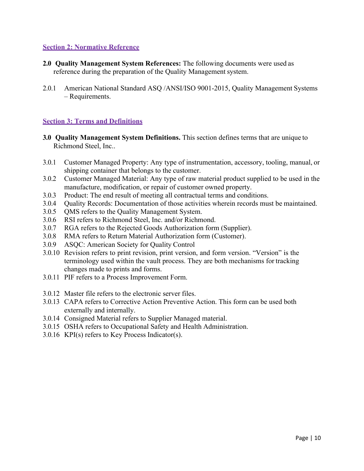#### **Section 2: Normative Reference**

- **2.0 Quality Management System References:** The following documents were used as reference during the preparation of the Quality Management system.
- 2.0.1 American National Standard ASQ /ANSI/ISO 9001-2015, Quality Management Systems – Requirements.

#### **Section 3: Terms and Definitions**

- **3.0 Quality Management System Definitions.** This section defines terms that are unique to Richmond Steel, Inc..
- 3.0.1 Customer Managed Property: Any type of instrumentation, accessory, tooling, manual, or shipping container that belongs to the customer.
- 3.0.2 Customer Managed Material: Any type of raw material product supplied to be used in the manufacture, modification, or repair of customer owned property.
- 3.0.3 Product: The end result of meeting all contractual terms and conditions.
- 3.0.4 Quality Records: Documentation of those activities wherein records must be maintained.
- 3.0.5 QMS refers to the Quality Management System.
- 3.0.6 RSI refers to Richmond Steel, Inc. and/or Richmond.
- 3.0.7 RGA refers to the Rejected Goods Authorization form (Supplier).
- 3.0.8 RMA refers to Return Material Authorization form (Customer).
- 3.0.9 ASQC: American Society for Quality Control
- 3.0.10 Revision refers to print revision, print version, and form version. "Version" is the terminology used within the vault process. They are both mechanisms for tracking changes made to prints and forms.
- 3.0.11 PIF refers to a Process Improvement Form.
- 3.0.12 Master file refers to the electronic server files.
- 3.0.13 CAPA refers to Corrective Action Preventive Action. This form can be used both externally and internally.
- 3.0.14 Consigned Material refers to Supplier Managed material.
- 3.0.15 OSHA refers to Occupational Safety and Health Administration.
- 3.0.16 KPI(s) refers to Key Process Indicator(s).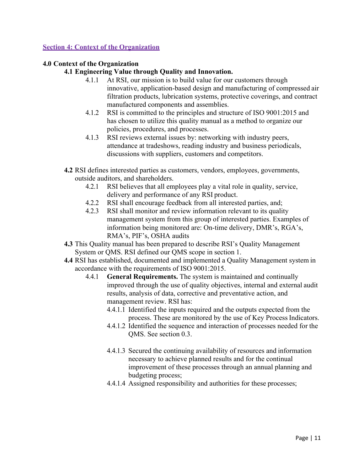#### **Section 4: Context of the Organization**

#### **4.0 Context of the Organization**

#### **4.1 Engineering Value through Quality and Innovation.**

- 4.1.1 At RSI, our mission is to build value for our customers through innovative, application-based design and manufacturing of compressed air filtration products, lubrication systems, protective coverings, and contract manufactured components and assemblies.
- 4.1.2 RSI is committed to the principles and structure of ISO 9001:2015 and has chosen to utilize this quality manual as a method to organize our policies, procedures, and processes.
- 4.1.3 RSI reviews external issues by: networking with industry peers, attendance at tradeshows, reading industry and business periodicals, discussions with suppliers, customers and competitors.
- **4.2** RSI defines interested parties as customers, vendors, employees, governments, outside auditors, and shareholders.
	- 4.2.1 RSI believes that all employees play a vital role in quality, service, delivery and performance of any RSI product.
	- 4.2.2 RSI shall encourage feedback from all interested parties, and;
	- 4.2.3 RSI shall monitor and review information relevant to its quality management system from this group of interested parties. Examples of information being monitored are: On-time delivery, DMR's, RGA's, RMA's, PIF's, OSHA audits
- **4.3** This Quality manual has been prepared to describe RSI's Quality Management System or QMS. RSI defined our QMS scope in section 1.
- **4.4** RSI has established, documented and implemented a Quality Management system in accordance with the requirements of ISO 9001:2015.
	- 4.4.1 **General Requirements.** The system is maintained and continually improved through the use of quality objectives, internal and external audit results, analysis of data, corrective and preventative action, and management review. RSI has:
		- 4.4.1.1 Identified the inputs required and the outputs expected from the process. These are monitored by the use of Key Process Indicators.
		- 4.4.1.2 Identified the sequence and interaction of processes needed for the QMS. See section 0.3.
		- 4.4.1.3 Secured the continuing availability of resources and information necessary to achieve planned results and for the continual improvement of these processes through an annual planning and budgeting process;
		- 4.4.1.4 Assigned responsibility and authorities for these processes;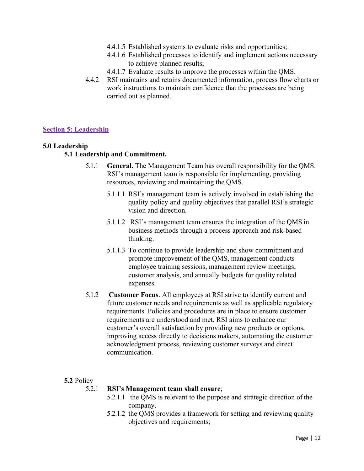- 4.4.1.5 Established systems to evaluate risks and opportunities;
- 4.4.1.6 Established processes to identify and implement actions necessary to achieve planned results;
- 4.4.1.7 Evaluate results to improve the processes within the QMS.
- 4.4.2 RSI maintains and retains documented information, process flow charts or work instructions to maintain confidence that the processes are being carried out as planned.

#### **Section 5: Leadership**

#### **5.0 Leadership**

#### **5.1 Leadership and Commitment.**

- 5.1.1 **General.** The Management Team has overall responsibility for the QMS. RSI's management team is responsible for implementing, providing resources, reviewing and maintaining the QMS.
	- 5.1.1.1 RSI's management team is actively involved in establishing the quality policy and quality objectives that parallel RSI's strategic vision and direction.
	- 5.1.1.2 RSI's management team ensures the integration of the QMS in business methods through a process approach and risk-based thinking.
	- 5.1.1.3 To continue to provide leadership and show commitment and promote improvement of the QMS, management conducts employee training sessions, management review meetings, customer analysis, and annually budgets for quality related expenses.
- 5.1.2 **Customer Focus**. All employees at RSI strive to identify current and future customer needs and requirements as well as applicable regulatory requirements. Policies and procedures are in place to ensure customer requirements are understood and met. RSI aims to enhance our customer's overall satisfaction by providing new products or options, improving access directly to decisions makers, automating the customer acknowledgment process, reviewing customer surveys and direct communication.

#### **5.2** Policy

#### 5.2.1 **RSI's Management team shall ensure**;

- 5.2.1.1 the QMS is relevant to the purpose and strategic direction of the company.
- 5.2.1.2 the QMS provides a framework for setting and reviewing quality objectives and requirements;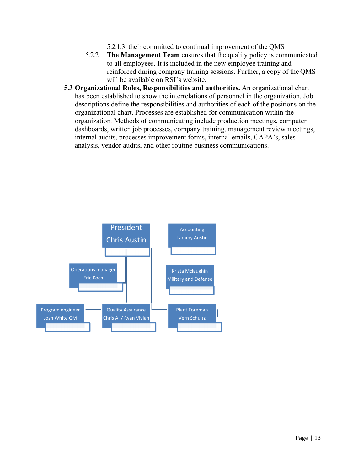- 5.2.1.3 their committed to continual improvement of the QMS
- 5.2.2 **The Management Team** ensures that the quality policy is communicated to all employees. It is included in the new employee training and reinforced during company training sessions. Further, a copy of the QMS will be available on RSI's website.
- **5.3 Organizational Roles, Responsibilities and authorities.** An organizational chart has been established to show the interrelations of personnel in the organization. Job descriptions define the responsibilities and authorities of each of the positions on the organizational chart. Processes are established for communication within the organization*.* Methods of communicating include production meetings, computer dashboards, written job processes, company training, management review meetings, internal audits, processes improvement forms, internal emails, CAPA's, sales analysis, vendor audits, and other routine business communications.

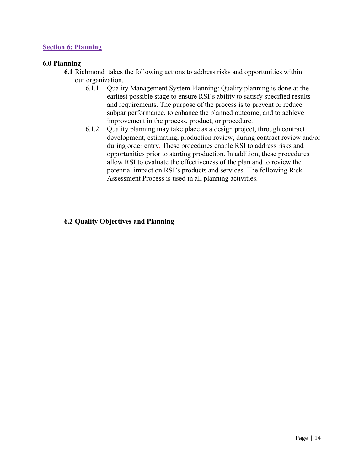#### **Section 6: Planning**

#### **6.0 Planning**

- **6.1** Richmond takes the following actions to address risks and opportunities within our organization.
	- 6.1.1 Quality Management System Planning: Quality planning is done at the earliest possible stage to ensure RSI's ability to satisfy specified results and requirements. The purpose of the process is to prevent or reduce subpar performance, to enhance the planned outcome, and to achieve improvement in the process, product, or procedure.
	- 6.1.2 Quality planning may take place as a design project, through contract development, estimating, production review, during contract review and/or during order entry*.* These procedures enable RSI to address risks and opportunities prior to starting production. In addition, these procedures allow RSI to evaluate the effectiveness of the plan and to review the potential impact on RSI's products and services. The following Risk Assessment Process is used in all planning activities.

#### **6.2 Quality Objectives and Planning**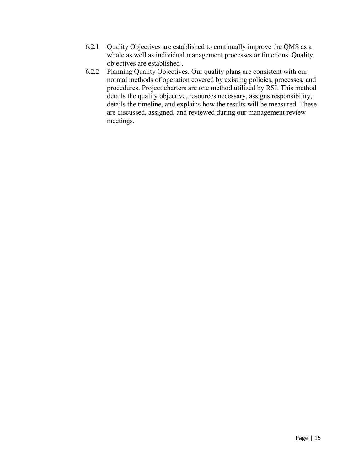- 6.2.1 Quality Objectives are established to continually improve the QMS as a whole as well as individual management processes or functions. Quality objectives are established .
- 6.2.2 Planning Quality Objectives. Our quality plans are consistent with our normal methods of operation covered by existing policies, processes, and procedures. Project charters are one method utilized by RSI. This method details the quality objective, resources necessary, assigns responsibility, details the timeline, and explains how the results will be measured. These are discussed, assigned, and reviewed during our management review meetings.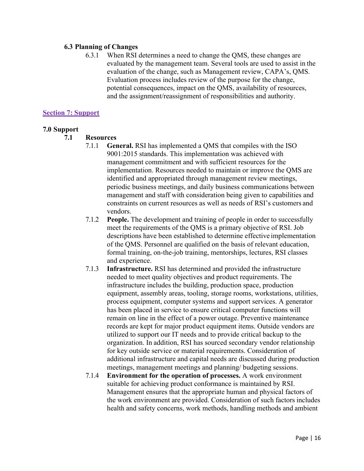#### **6.3 Planning of Changes**

6.3.1 When RSI determines a need to change the QMS, these changes are evaluated by the management team. Several tools are used to assist in the evaluation of the change, such as Management review, CAPA's, QMS. Evaluation process includes review of the purpose for the change, potential consequences, impact on the QMS, availability of resources, and the assignment/reassignment of responsibilities and authority.

#### **Section 7: Support**

#### **7.0 Support**

#### **7.1 Resources**

- 7.1.1 **General.** RSI has implemented a QMS that compiles with the ISO 9001:2015 standards. This implementation was achieved with management commitment and with sufficient resources for the implementation. Resources needed to maintain or improve the QMS are identified and appropriated through management review meetings, periodic business meetings, and daily business communications between management and staff with consideration being given to capabilities and constraints on current resources as well as needs of RSI's customers and vendors.
- 7.1.2 **People.** The development and training of people in order to successfully meet the requirements of the QMS is a primary objective of RSI. Job descriptions have been established to determine effective implementation of the QMS. Personnel are qualified on the basis of relevant education, formal training, on-the-job training, mentorships, lectures, RSI classes and experience.
- 7.1.3 **Infrastructure.** RSI has determined and provided the infrastructure needed to meet quality objectives and product requirements. The infrastructure includes the building, production space, production equipment, assembly areas, tooling, storage rooms, workstations, utilities, process equipment, computer systems and support services. A generator has been placed in service to ensure critical computer functions will remain on line in the effect of a power outage. Preventive maintenance records are kept for major product equipment items. Outside vendors are utilized to support our IT needs and to provide critical backup to the organization. In addition, RSI has sourced secondary vendor relationship for key outside service or material requirements. Consideration of additional infrastructure and capital needs are discussed during production meetings, management meetings and planning/ budgeting sessions.
- 7.1.4 **Environment for the operation of processes.** A work environment suitable for achieving product conformance is maintained by RSI. Management ensures that the appropriate human and physical factors of the work environment are provided. Consideration of such factors includes health and safety concerns, work methods, handling methods and ambient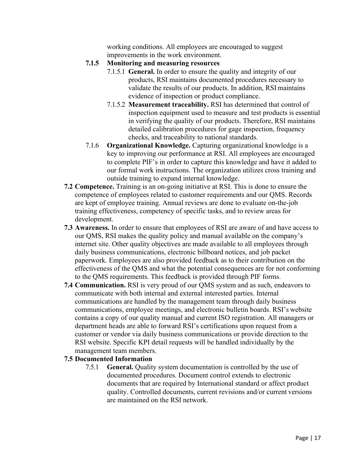working conditions. All employees are encouraged to suggest improvements in the work environment.

- **7.1.5 Monitoring and measuring resources** 
	- 7.1.5.1 **General.** In order to ensure the quality and integrity of our products, RSI maintains documented procedures necessary to validate the results of our products. In addition, RSI maintains evidence of inspection or product compliance.
	- 7.1.5.2 **Measurement traceability.** RSI has determined that control of inspection equipment used to measure and test products is essential in verifying the quality of our products. Therefore, RSI maintains detailed calibration procedures for gage inspection, frequency checks, and traceability to national standards.
- 7.1.6 **Organizational Knowledge.** Capturing organizational knowledge is a key to improving our performance at RSI. All employees are encouraged to complete PIF's in order to capture this knowledge and have it added to our formal work instructions. The organization utilizes cross training and outside training to expand internal knowledge.
- **7.2 Competence.** Training is an on-going initiative at RSI. This is done to ensure the competence of employees related to customer requirements and our QMS. Records are kept of employee training. Annual reviews are done to evaluate on-the-job training effectiveness, competency of specific tasks, and to review areas for development.
- **7.3 Awareness.** In order to ensure that employees of RSI are aware of and have access to our QMS, RSI makes the quality policy and manual available on the company's internet site. Other quality objectives are made available to all employees through daily business communications, electronic billboard notices, and job packet paperwork. Employees are also provided feedback as to their contribution on the effectiveness of the QMS and what the potential consequences are for not conforming to the QMS requirements. This feedback is provided through PIF forms.
- **7.4 Communication.** RSI is very proud of our QMS system and as such, endeavors to communicate with both internal and external interested parties. Internal communications are handled by the management team through daily business communications, employee meetings, and electronic bulletin boards. RSI's website contains a copy of our quality manual and current ISO registration. All managers or department heads are able to forward RSI's certifications upon request from a customer or vendor via daily business communications or provide direction to the RSI website. Specific KPI detail requests will be handled individually by the management team members.

#### **7.5 Documented Information**

7.5.1 **General.** Quality system documentation is controlled by the use of documented procedures. Document control extends to electronic documents that are required by International standard or affect product quality. Controlled documents, current revisions and/or current versions are maintained on the RSI network.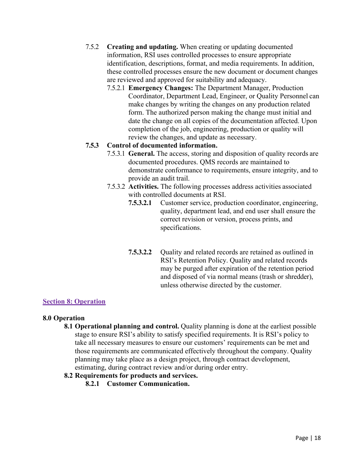- 7.5.2 **Creating and updating.** When creating or updating documented information, RSI uses controlled processes to ensure appropriate identification, descriptions, format, and media requirements. In addition, these controlled processes ensure the new document or document changes are reviewed and approved for suitability and adequacy.
	- 7.5.2.1 **Emergency Changes:** The Department Manager, Production Coordinator, Department Lead, Engineer, or Quality Personnel can make changes by writing the changes on any production related form. The authorized person making the change must initial and date the change on all copies of the documentation affected. Upon completion of the job, engineering, production or quality will review the changes, and update as necessary.

#### **7.5.3 Control of documented information.**

- 7.5.3.1 **General.** The access, storing and disposition of quality records are documented procedures. QMS records are maintained to demonstrate conformance to requirements, ensure integrity, and to provide an audit trail.
- 7.5.3.2 **Activities.** The following processes address activities associated with controlled documents at RSI.
	- **7.5.3.2.1** Customer service, production coordinator, engineering, quality, department lead, and end user shall ensure the correct revision or version, process prints, and specifications.
	- **7.5.3.2.2** Quality and related records are retained as outlined in RSI's Retention Policy. Quality and related records may be purged after expiration of the retention period and disposed of via normal means (trash or shredder), unless otherwise directed by the customer.

#### **Section 8: Operation**

#### **8.0 Operation**

8.1 **Operational planning and control.** Quality planning is done at the earliest possible stage to ensure RSI's ability to satisfy specified requirements. It is RSI's policy to take all necessary measures to ensure our customers' requirements can be met and those requirements are communicated effectively throughout the company. Quality planning may take place as a design project, through contract development, estimating, during contract review and/or during order entry.

#### **8.2 Requirements for products and services.**

**8.2.1 Customer Communication.**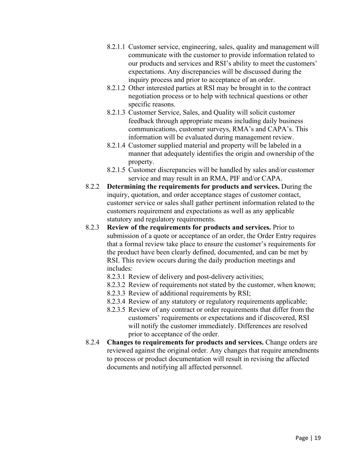- 8.2.1.1 Customer service, engineering, sales, quality and management will communicate with the customer to provide information related to our products and services and RSI's ability to meet the customers' expectations. Any discrepancies will be discussed during the inquiry process and prior to acceptance of an order.
- 8.2.1.2 Other interested parties at RSI may be brought in to the contract negotiation process or to help with technical questions or other specific reasons.
- 8.2.1.3 Customer Service, Sales, and Quality will solicit customer feedback through appropriate means including daily business communications, customer surveys, RMA's and CAPA's. This information will be evaluated during management review.
- 8.2.1.4 Customer supplied material and property will be labeled in a manner that adequately identifies the origin and ownership of the property.
- 8.2.1.5 Customer discrepancies will be handled by sales and/or customer service and may result in an RMA, PIF and/or CAPA.
- 8.2.2 **Determining the requirements for products and services.** During the inquiry, quotation, and order acceptance stages of customer contact, customer service or sales shall gather pertinent information related to the customers requirement and expectations as well as any applicable statutory and regulatory requirements.
- 8.2.3 **Review of the requirements for products and services.** Prior to submission of a quote or acceptance of an order, the Order Entry requires that a formal review take place to ensure the customer's requirements for the product have been clearly defined, documented, and can be met by RSI. This review occurs during the daily production meetings and includes:
	- 8.2.3.1 Review of delivery and post-delivery activities;
	- 8.2.3.2 Review of requirements not stated by the customer, when known;
	- 8.2.3.3 Review of additional requirements by RSI;
	- 8.2.3.4 Review of any statutory or regulatory requirements applicable;
	- 8.2.3.5 Review of any contract or order requirements that differ from the customers' requirements or expectations and if discovered, RSI will notify the customer immediately. Differences are resolved prior to acceptance of the order.
- 8.2.4 **Changes to requirements for products and services.** Change orders are reviewed against the original order. Any changes that require amendments to process or product documentation will result in revising the affected documents and notifying all affected personnel.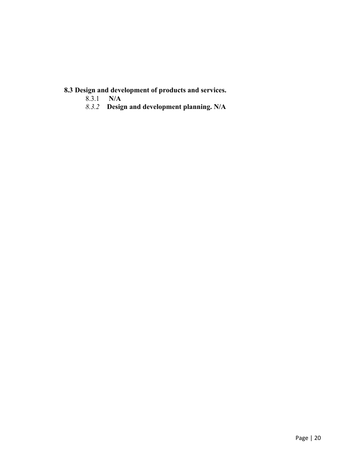# **8.3 Design and development of products and services.**

- 8.3.1 **N/A**
- *8.3.2* **Design and development planning. N/A**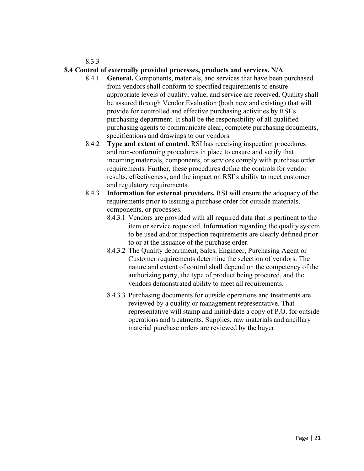8.3.3

#### **8.4 Control of externally provided processes, products and services. N/A**

- 8.4.1 **General.** Components, materials, and services that have been purchased from vendors shall conform to specified requirements to ensure appropriate levels of quality, value, and service are received. Quality shall be assured through Vendor Evaluation (both new and existing) that will provide for controlled and effective purchasing activities by RSI's purchasing department. It shall be the responsibility of all qualified purchasing agents to communicate clear, complete purchasing documents, specifications and drawings to our vendors.
- 8.4.2 **Type and extent of control.** RSI has receiving inspection procedures and non-conforming procedures in place to ensure and verify that incoming materials, components, or services comply with purchase order requirements. Further, these procedures define the controls for vendor results, effectiveness, and the impact on RSI's ability to meet customer and regulatory requirements.
- 8.4.3 **Information for external providers.** RSI will ensure the adequacy of the requirements prior to issuing a purchase order for outside materials, components, or processes.
	- 8.4.3.1 Vendors are provided with all required data that is pertinent to the item or service requested. Information regarding the quality system to be used and/or inspection requirements are clearly defined prior to or at the issuance of the purchase order.
	- 8.4.3.2 The Quality department, Sales, Engineer, Purchasing Agent or Customer requirements determine the selection of vendors. The nature and extent of control shall depend on the competency of the authorizing party, the type of product being procured, and the vendors demonstrated ability to meet all requirements.
	- 8.4.3.3 Purchasing documents for outside operations and treatments are reviewed by a quality or management representative. That representative will stamp and initial/date a copy of P.O. for outside operations and treatments. Supplies, raw materials and ancillary material purchase orders are reviewed by the buyer.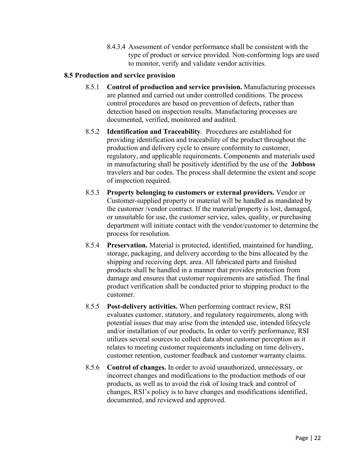8.4.3.4 Assessment of vendor performance shall be consistent with the type of product or service provided. Non-conforming logs are used to monitor, verify and validate vendor activities.

#### **8.5 Production and service provision**

- 8.5.1 **Control of production and service provision.** Manufacturing processes are planned and carried out under controlled conditions. The process control procedures are based on prevention of defects, rather than detection based on inspection results. Manufacturing processes are documented, verified, monitored and audited.
- 8.5.2 **Identification and Traceability**. Procedures are established for providing identification and traceability of the product throughout the production and delivery cycle to ensure conformity to customer, regulatory, and applicable requirements. Components and materials used in manufacturing shall be positively identified by the use of the **Jobboss**  travelers and bar codes. The process shall determine the extent and scope of inspection required.
- 8.5.3 **Property belonging to customers or external providers.** Vendor or Customer-supplied property or material will be handled as mandated by the customer /vendor contract. If the material/property is lost, damaged, or unsuitable for use, the customer service, sales, quality, or purchasing department will initiate contact with the vendor/customer to determine the process for resolution.
- 8.5.4 **Preservation.** Material is protected, identified, maintained for handling, storage, packaging, and delivery according to the bins allocated by the shipping and receiving dept. area. All fabricated parts and finished products shall be handled in a manner that provides protection from damage and ensures that customer requirements are satisfied. The final product verification shall be conducted prior to shipping product to the customer.
- 8.5.5 **Post-delivery activities.** When performing contract review, RSI evaluates customer, statutory, and regulatory requirements, along with potential issues that may arise from the intended use, intended lifecycle and/or installation of our products. In order to verify performance, RSI utilizes several sources to collect data about customer perception as it relates to meeting customer requirements including on time delivery, customer retention, customer feedback and customer warranty claims.
- 8.5.6 **Control of changes.** In order to avoid unauthorized, unnecessary, or incorrect changes and modifications to the production methods of our products, as well as to avoid the risk of losing track and control of changes, RSI's policy is to have changes and modifications identified, documented, and reviewed and approved.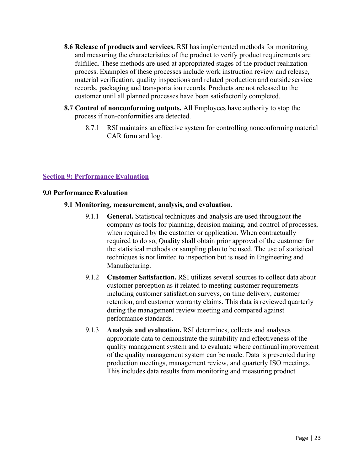- **8.6 Release of products and services.** RSI has implemented methods for monitoring and measuring the characteristics of the product to verify product requirements are fulfilled. These methods are used at appropriated stages of the product realization process. Examples of these processes include work instruction review and release, material verification, quality inspections and related production and outside service records, packaging and transportation records. Products are not released to the customer until all planned processes have been satisfactorily completed.
- **8.7 Control of nonconforming outputs.** All Employees have authority to stop the process if non-conformities are detected.
	- 8.7.1 RSI maintains an effective system for controlling nonconforming material CAR form and log.

#### **Section 9: Performance Evaluation**

#### **9.0 Performance Evaluation**

#### **9.1 Monitoring, measurement, analysis, and evaluation.**

- 9.1.1 **General.** Statistical techniques and analysis are used throughout the company as tools for planning, decision making, and control of processes, when required by the customer or application. When contractually required to do so, Quality shall obtain prior approval of the customer for the statistical methods or sampling plan to be used. The use of statistical techniques is not limited to inspection but is used in Engineering and Manufacturing.
- 9.1.2 **Customer Satisfaction.** RSI utilizes several sources to collect data about customer perception as it related to meeting customer requirements including customer satisfaction surveys, on time delivery, customer retention, and customer warranty claims. This data is reviewed quarterly during the management review meeting and compared against performance standards.
- 9.1.3 **Analysis and evaluation.** RSI determines, collects and analyses appropriate data to demonstrate the suitability and effectiveness of the quality management system and to evaluate where continual improvement of the quality management system can be made. Data is presented during production meetings, management review, and quarterly ISO meetings. This includes data results from monitoring and measuring product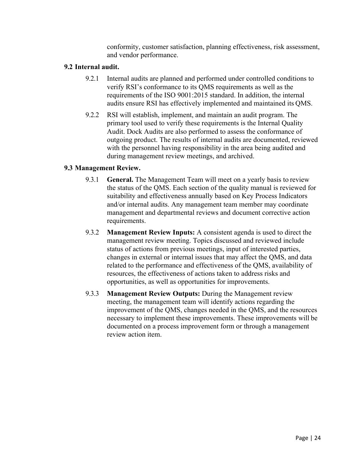conformity, customer satisfaction, planning effectiveness, risk assessment, and vendor performance.

#### **9.2 Internal audit.**

- 9.2.1 Internal audits are planned and performed under controlled conditions to verify RSI's conformance to its QMS requirements as well as the requirements of the ISO 9001:2015 standard. In addition, the internal audits ensure RSI has effectively implemented and maintained its QMS.
- 9.2.2 RSI will establish, implement, and maintain an audit program. The primary tool used to verify these requirements is the Internal Quality Audit. Dock Audits are also performed to assess the conformance of outgoing product. The results of internal audits are documented, reviewed with the personnel having responsibility in the area being audited and during management review meetings, and archived.

#### **9.3 Management Review.**

- 9.3.1 **General.** The Management Team will meet on a yearly basis to review the status of the QMS. Each section of the quality manual is reviewed for suitability and effectiveness annually based on Key Process Indicators and/or internal audits. Any management team member may coordinate management and departmental reviews and document corrective action requirements.
- 9.3.2 **Management Review Inputs:** A consistent agenda is used to direct the management review meeting. Topics discussed and reviewed include status of actions from previous meetings, input of interested parties, changes in external or internal issues that may affect the QMS, and data related to the performance and effectiveness of the QMS, availability of resources, the effectiveness of actions taken to address risks and opportunities, as well as opportunities for improvements.
- 9.3.3 **Management Review Outputs:** During the Management review meeting, the management team will identify actions regarding the improvement of the QMS, changes needed in the QMS, and the resources necessary to implement these improvements. These improvements will be documented on a process improvement form or through a management review action item.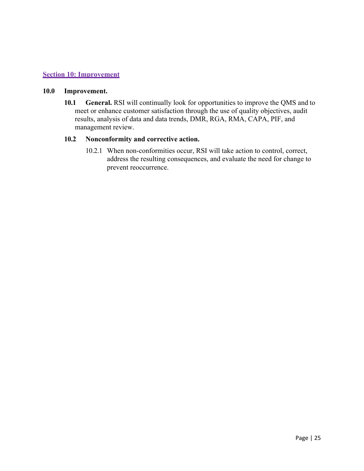#### **Section 10: Improvement**

#### **10.0 Improvement.**

**10.1 General.** RSI will continually look for opportunities to improve the QMS and to meet or enhance customer satisfaction through the use of quality objectives, audit results, analysis of data and data trends, DMR, RGA, RMA, CAPA, PIF, and management review.

#### **10.2 Nonconformity and corrective action.**

10.2.1 When non-conformities occur, RSI will take action to control, correct, address the resulting consequences, and evaluate the need for change to prevent reoccurrence.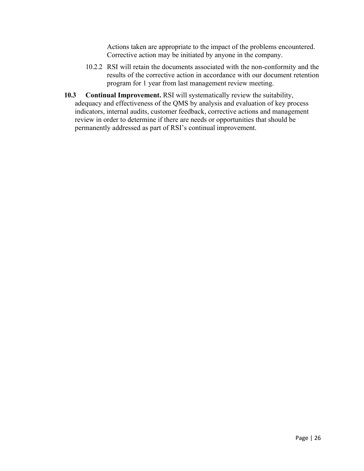Actions taken are appropriate to the impact of the problems encountered. Corrective action may be initiated by anyone in the company.

- 10.2.2 RSI will retain the documents associated with the non-conformity and the results of the corrective action in accordance with our document retention program for 1 year from last management review meeting.
- **10.3 Continual Improvement.** RSI will systematically review the suitability, adequacy and effectiveness of the QMS by analysis and evaluation of key process indicators, internal audits, customer feedback, corrective actions and management review in order to determine if there are needs or opportunities that should be permanently addressed as part of RSI's continual improvement.